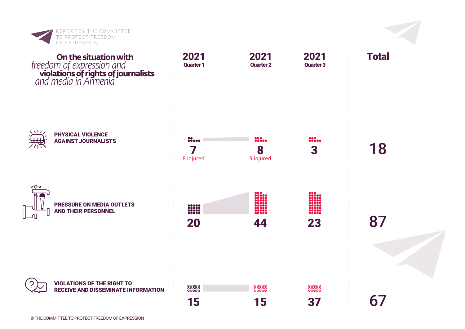

## **violations of rights of journalists On the situation with** *and media in Armenia freedom of expression and*



PHYSICAL VIOLENCE AGAINST JOURNALISTS

VIOLATIONS OF THE RIGHT TO RECEIVE AND DISSEMINATE INFORMATION





3

222.00

23

37

oooooo<br>ooooo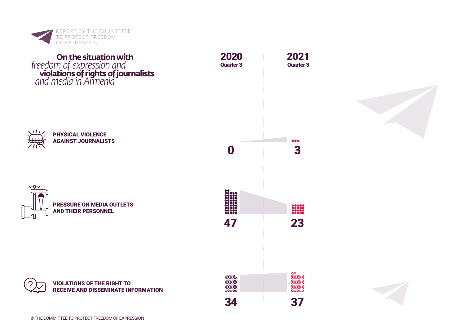

## **violations of rights of journalists On the situation with** *and media in Armenia freedom of expression and*



## PHYSICAL VIOLENCE AGAINST JOURNALISTS



PRESSURE ON MEDIA OUTLETS AND THEIR PERSONNEL







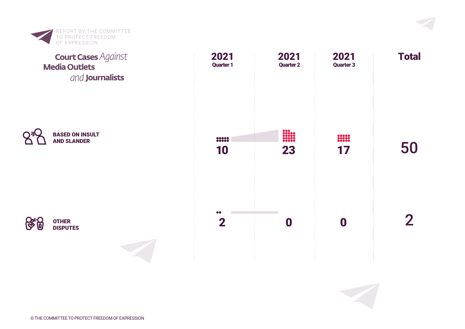

## **Media Outlets Journalists** *and* **Court Cases***Against*







© THE COMMITTEE TO PROTECT FREEDOM OF EXPRESSION